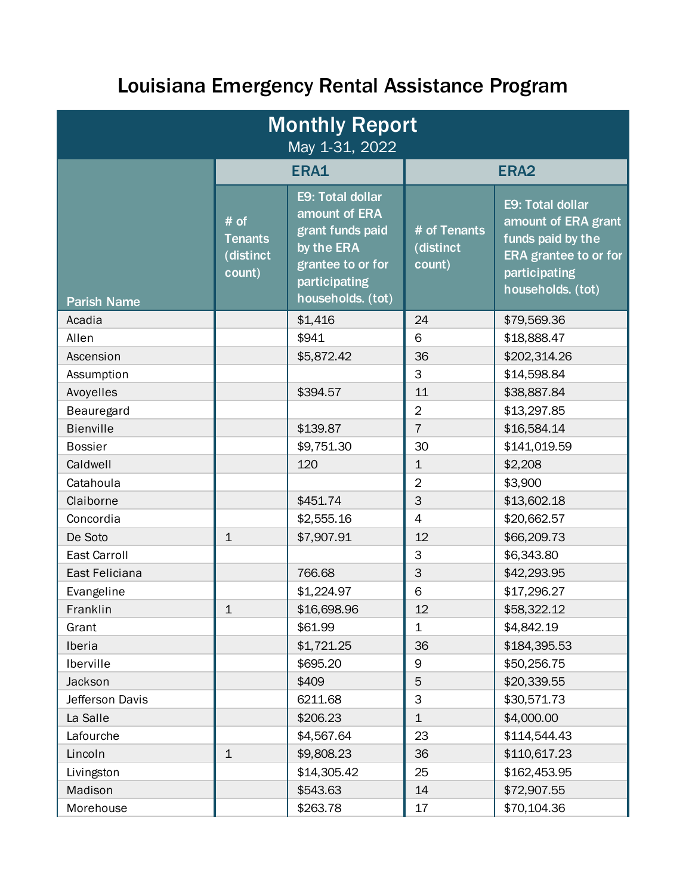## Louisiana Emergency Rental Assistance Program

| <b>Monthly Report</b><br>May 1-31, 2022 |                                               |                                                                                                                                |                                     |                                                                                                                                    |  |  |
|-----------------------------------------|-----------------------------------------------|--------------------------------------------------------------------------------------------------------------------------------|-------------------------------------|------------------------------------------------------------------------------------------------------------------------------------|--|--|
|                                         | ERA1                                          |                                                                                                                                | ERA <sub>2</sub>                    |                                                                                                                                    |  |  |
| <b>Parish Name</b>                      | # of<br><b>Tenants</b><br>(distinct<br>count) | E9: Total dollar<br>amount of ERA<br>grant funds paid<br>by the ERA<br>grantee to or for<br>participating<br>households. (tot) | # of Tenants<br>(distinct<br>count) | E9: Total dollar<br>amount of ERA grant<br>funds paid by the<br><b>ERA</b> grantee to or for<br>participating<br>households. (tot) |  |  |
| Acadia                                  |                                               | \$1,416                                                                                                                        | 24                                  | \$79,569.36                                                                                                                        |  |  |
| Allen                                   |                                               | \$941                                                                                                                          | 6                                   | \$18,888.47                                                                                                                        |  |  |
| Ascension                               |                                               | \$5,872.42                                                                                                                     | 36                                  | \$202,314.26                                                                                                                       |  |  |
| Assumption                              |                                               |                                                                                                                                | 3                                   | \$14,598.84                                                                                                                        |  |  |
| Avoyelles                               |                                               | \$394.57                                                                                                                       | 11                                  | \$38,887.84                                                                                                                        |  |  |
| Beauregard                              |                                               |                                                                                                                                | $\overline{2}$                      | \$13,297.85                                                                                                                        |  |  |
| <b>Bienville</b>                        |                                               | \$139.87                                                                                                                       | $\overline{7}$                      | \$16,584.14                                                                                                                        |  |  |
| <b>Bossier</b>                          |                                               | \$9,751.30                                                                                                                     | 30                                  | \$141,019.59                                                                                                                       |  |  |
| Caldwell                                |                                               | 120                                                                                                                            | $\mathbf 1$                         | \$2,208                                                                                                                            |  |  |
| Catahoula                               |                                               |                                                                                                                                | $\overline{2}$                      | \$3,900                                                                                                                            |  |  |
| Claiborne                               |                                               | \$451.74                                                                                                                       | 3                                   | \$13,602.18                                                                                                                        |  |  |
| Concordia                               |                                               | \$2,555.16                                                                                                                     | $\overline{4}$                      | \$20,662.57                                                                                                                        |  |  |
| De Soto                                 | $\mathbf{1}$                                  | \$7,907.91                                                                                                                     | 12                                  | \$66,209.73                                                                                                                        |  |  |
| <b>East Carroll</b>                     |                                               |                                                                                                                                | 3                                   | \$6,343.80                                                                                                                         |  |  |
| East Feliciana                          |                                               | 766.68                                                                                                                         | 3                                   | \$42,293.95                                                                                                                        |  |  |
| Evangeline                              |                                               | \$1,224.97                                                                                                                     | 6                                   | \$17,296.27                                                                                                                        |  |  |
| Franklin                                | $\mathbf{1}$                                  | \$16,698.96                                                                                                                    | 12                                  | \$58,322.12                                                                                                                        |  |  |
| Grant                                   |                                               | \$61.99                                                                                                                        | 1                                   | \$4,842.19                                                                                                                         |  |  |
| Iberia                                  |                                               | \$1,721.25                                                                                                                     | 36                                  | \$184,395.53                                                                                                                       |  |  |
| Iberville                               |                                               | \$695.20                                                                                                                       | 9                                   | \$50,256.75                                                                                                                        |  |  |
| Jackson                                 |                                               | \$409                                                                                                                          | 5                                   | \$20,339.55                                                                                                                        |  |  |
| Jefferson Davis                         |                                               | 6211.68                                                                                                                        | 3                                   | \$30,571.73                                                                                                                        |  |  |
| La Salle                                |                                               | \$206.23                                                                                                                       | $\mathbf 1$                         | \$4,000.00                                                                                                                         |  |  |
| Lafourche                               |                                               | \$4,567.64                                                                                                                     | 23                                  | \$114,544.43                                                                                                                       |  |  |
| Lincoln                                 | $\mathbf 1$                                   | \$9,808.23                                                                                                                     | 36                                  | \$110,617.23                                                                                                                       |  |  |
| Livingston                              |                                               | \$14,305.42                                                                                                                    | 25                                  | \$162,453.95                                                                                                                       |  |  |
| Madison                                 |                                               | \$543.63                                                                                                                       | 14                                  | \$72,907.55                                                                                                                        |  |  |
| Morehouse                               |                                               | \$263.78                                                                                                                       | 17                                  | \$70,104.36                                                                                                                        |  |  |